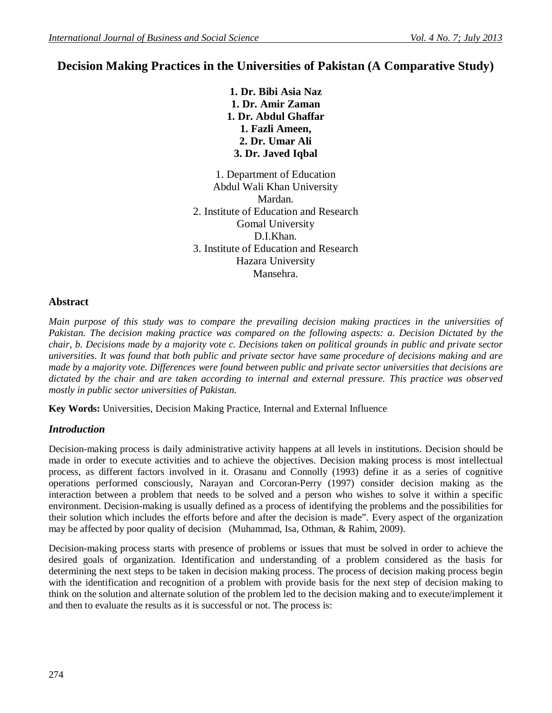# **Decision Making Practices in the Universities of Pakistan (A Comparative Study)**

**1. Dr. Bibi Asia Naz 1. Dr. Amir Zaman 1. Dr. Abdul Ghaffar 1. Fazli Ameen, 2. Dr. Umar Ali 3. Dr. Javed Iqbal**

1. Department of Education Abdul Wali Khan University Mardan. 2. Institute of Education and Research Gomal University D.I.Khan. 3. Institute of Education and Research Hazara University Mansehra.

## **Abstract**

*Main purpose of this study was to compare the prevailing decision making practices in the universities of Pakistan. The decision making practice was compared on the following aspects: a. Decision Dictated by the chair, b. Decisions made by a majority vote c. Decisions taken on political grounds in public and private sector universities. It was found that both public and private sector have same procedure of decisions making and are made by a majority vote. Differences were found between public and private sector universities that decisions are dictated by the chair and are taken according to internal and external pressure. This practice was observed mostly in public sector universities of Pakistan.*

**Key Words:** Universities, Decision Making Practice, Internal and External Influence

## *Introduction*

Decision-making process is daily administrative activity happens at all levels in institutions. Decision should be made in order to execute activities and to achieve the objectives. Decision making process is most intellectual process, as different factors involved in it. Orasanu and Connolly (1993) define it as a series of cognitive operations performed consciously, Narayan and Corcoran-Perry (1997) consider decision making as the interaction between a problem that needs to be solved and a person who wishes to solve it within a specific environment. Decision-making is usually defined as a process of identifying the problems and the possibilities for their solution which includes the efforts before and after the decision is made". Every aspect of the organization may be affected by poor quality of decision (Muhammad, Isa, Othman, & Rahim, 2009).

Decision-making process starts with presence of problems or issues that must be solved in order to achieve the desired goals of organization. Identification and understanding of a problem considered as the basis for determining the next steps to be taken in decision making process. The process of decision making process begin with the identification and recognition of a problem with provide basis for the next step of decision making to think on the solution and alternate solution of the problem led to the decision making and to execute/implement it and then to evaluate the results as it is successful or not. The process is: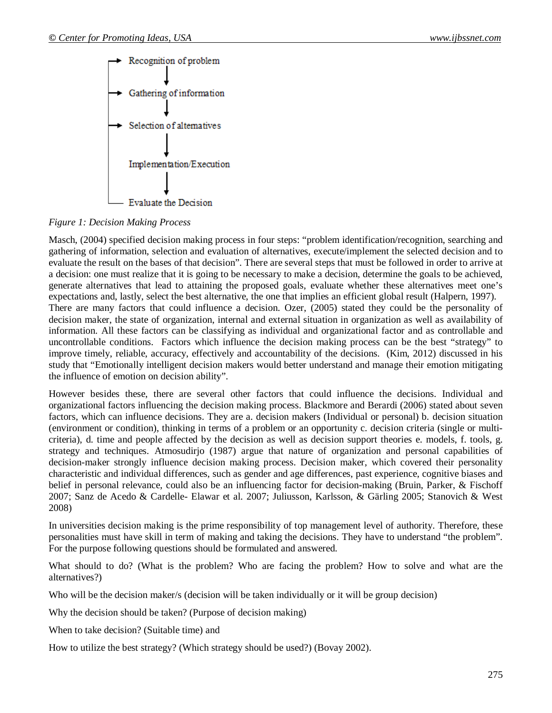

*Figure 1: Decision Making Process* 

Masch, (2004) specified decision making process in four steps: "problem identification/recognition, searching and gathering of information, selection and evaluation of alternatives, execute/implement the selected decision and to evaluate the result on the bases of that decision". There are several steps that must be followed in order to arrive at a decision: one must realize that it is going to be necessary to make a decision, determine the goals to be achieved, generate alternatives that lead to attaining the proposed goals, evaluate whether these alternatives meet one's expectations and, lastly, select the best alternative, the one that implies an efficient global result (Halpern, 1997). There are many factors that could influence a decision. Ozer, (2005) stated they could be the personality of decision maker, the state of organization, internal and external situation in organization as well as availability of information. All these factors can be classifying as individual and organizational factor and as controllable and uncontrollable conditions. Factors which influence the decision making process can be the best "strategy" to improve timely, reliable, accuracy, effectively and accountability of the decisions. (Kim, 2012) discussed in his study that "Emotionally intelligent decision makers would better understand and manage their emotion mitigating the influence of emotion on decision ability".

However besides these, there are several other factors that could influence the decisions. Individual and organizational factors influencing the decision making process. Blackmore and Berardi (2006) stated about seven factors, which can influence decisions. They are a. decision makers (Individual or personal) b. decision situation (environment or condition), thinking in terms of a problem or an opportunity c. decision criteria (single or multicriteria), d. time and people affected by the decision as well as decision support theories e. models, f. tools, g. strategy and techniques. Atmosudirjo (1987) argue that nature of organization and personal capabilities of decision-maker strongly influence decision making process. Decision maker, which covered their personality characteristic and individual differences, such as gender and age differences, past experience, cognitive biases and belief in personal relevance, could also be an influencing factor for decision-making (Bruin, Parker, & Fischoff 2007; Sanz de Acedo & Cardelle- Elawar et al. 2007; Juliusson, Karlsson, & Gärling 2005; Stanovich & West 2008)

In universities decision making is the prime responsibility of top management level of authority. Therefore, these personalities must have skill in term of making and taking the decisions. They have to understand "the problem". For the purpose following questions should be formulated and answered.

What should to do? (What is the problem? Who are facing the problem? How to solve and what are the alternatives?)

Who will be the decision maker/s (decision will be taken individually or it will be group decision)

Why the decision should be taken? (Purpose of decision making)

When to take decision? (Suitable time) and

How to utilize the best strategy? (Which strategy should be used?) (Bovay 2002).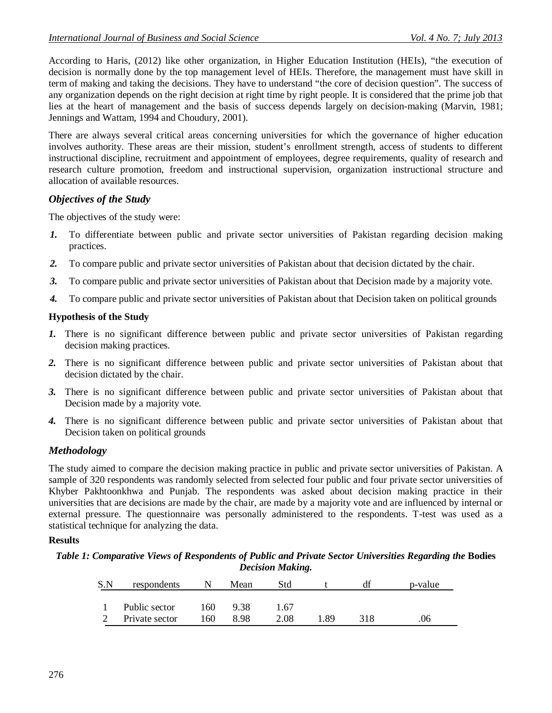According to Haris, (2012) like other organization, in Higher Education Institution (HEIs), "the execution of decision is normally done by the top management level of HEIs. Therefore, the management must have skill in term of making and taking the decisions. They have to understand "the core of decision question". The success of any organization depends on the right decision at right time by right people. It is considered that the prime job that lies at the heart of management and the basis of success depends largely on decision-making (Marvin, 1981; Jennings and Wattam, 1994 and Choudury, 2001).

There are always several critical areas concerning universities for which the governance of higher education involves authority. These areas are their mission, student's enrollment strength, access of students to different instructional discipline, recruitment and appointment of employees, degree requirements, quality of research and research culture promotion, freedom and instructional supervision, organization instructional structure and allocation of available resources.

### *Objectives of the Study*

The objectives of the study were:

- *1.* To differentiate between public and private sector universities of Pakistan regarding decision making practices.
- *2.* To compare public and private sector universities of Pakistan about that decision dictated by the chair.
- *3.* To compare public and private sector universities of Pakistan about that Decision made by a majority vote.
- *4.* To compare public and private sector universities of Pakistan about that Decision taken on political grounds

### **Hypothesis of the Study**

- *1.* There is no significant difference between public and private sector universities of Pakistan regarding decision making practices.
- *2.* There is no significant difference between public and private sector universities of Pakistan about that decision dictated by the chair.
- *3.* There is no significant difference between public and private sector universities of Pakistan about that Decision made by a majority vote.
- *4.* There is no significant difference between public and private sector universities of Pakistan about that Decision taken on political grounds

## *Methodology*

The study aimed to compare the decision making practice in public and private sector universities of Pakistan. A sample of 320 respondents was randomly selected from selected four public and four private sector universities of Khyber Pakhtoonkhwa and Punjab. The respondents was asked about decision making practice in their universities that are decisions are made by the chair, are made by a majority vote and are influenced by internal or external pressure. The questionnaire was personally administered to the respondents. T-test was used as a statistical technique for analyzing the data.

#### **Results**

*Table 1: Comparative Views of Respondents of Public and Private Sector Universities Regarding the* **Bodies**  *Decision Making.*

| S.N | respondents    |     | Mean | Std  |     | df  | p-value |
|-----|----------------|-----|------|------|-----|-----|---------|
|     |                |     |      |      |     |     |         |
|     | Public sector  | 160 | 938  | l.67 |     |     |         |
|     | Private sector | 160 | 8.98 | 2.08 | -89 | 318 | .06     |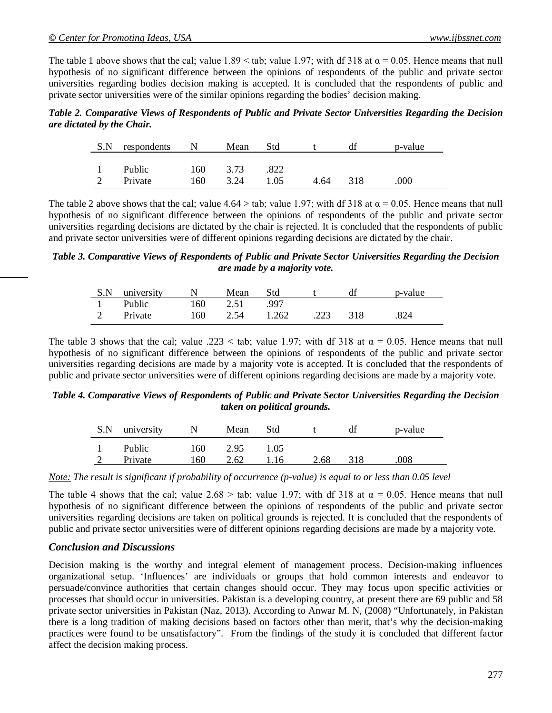The table 1 above shows that the cal; value  $1.89 \leq$  tab; value  $1.97$ ; with df 318 at  $\alpha = 0.05$ . Hence means that null hypothesis of no significant difference between the opinions of respondents of the public and private sector universities regarding bodies decision making is accepted. It is concluded that the respondents of public and private sector universities were of the similar opinions regarding the bodies' decision making.

*Table 2. Comparative Views of Respondents of Public and Private Sector Universities Regarding the Decision are dictated by the Chair.*

| S.N | respondents              | N          | Mean         | Std.         |      | dt  | p-value |
|-----|--------------------------|------------|--------------|--------------|------|-----|---------|
| 2   | <b>Public</b><br>Private | 160<br>160 | 3.73<br>3.24 | .822<br>1.05 | 4.64 | 318 | 000     |

The table 2 above shows that the cal; value 4.64 > tab; value 1.97; with df 318 at  $\alpha$  = 0.05. Hence means that null hypothesis of no significant difference between the opinions of respondents of the public and private sector universities regarding decisions are dictated by the chair is rejected. It is concluded that the respondents of public and private sector universities were of different opinions regarding decisions are dictated by the chair.

*Table 3. Comparative Views of Respondents of Public and Private Sector Universities Regarding the Decision are made by a majority vote.*

| S.N university | $\mathbf N$ | Mean     | Std   |      |     | p-value |
|----------------|-------------|----------|-------|------|-----|---------|
| 1 Public       |             | 160 2.51 | - 997 |      |     |         |
| Private        | 160         | 2.54     | 1.262 | .223 | 318 | .824    |

The table 3 shows that the cal; value .223 < tab; value 1.97; with df 318 at  $\alpha = 0.05$ . Hence means that null hypothesis of no significant difference between the opinions of respondents of the public and private sector universities regarding decisions are made by a majority vote is accepted. It is concluded that the respondents of public and private sector universities were of different opinions regarding decisions are made by a majority vote.

*Table 4. Comparative Views of Respondents of Public and Private Sector Universities Regarding the Decision taken on political grounds.*

| S.N | university | $\mathbb{N}$ | Mean | <b>Std</b> |      | df  | p-value |
|-----|------------|--------------|------|------------|------|-----|---------|
|     | Public     | 160          | 2.95 | 1.05       |      |     |         |
|     | Private    | 160          | 2.62 | 1.16       | 2.68 | 318 | .008    |

*Note: The result is significant if probability of occurrence (p-value) is equal to or less than 0.05 level*

The table 4 shows that the cal; value  $2.68 >$  tab; value 1.97; with df 318 at  $\alpha = 0.05$ . Hence means that null hypothesis of no significant difference between the opinions of respondents of the public and private sector universities regarding decisions are taken on political grounds is rejected. It is concluded that the respondents of public and private sector universities were of different opinions regarding decisions are made by a majority vote.

## *Conclusion and Discussions*

Decision making is the worthy and integral element of management process. Decision-making influences organizational setup. 'Influences' are individuals or groups that hold common interests and endeavor to persuade/convince authorities that certain changes should occur. They may focus upon specific activities or processes that should occur in universities. Pakistan is a developing country, at present there are 69 public and 58 private sector universities in Pakistan (Naz, 2013). According to Anwar M. N, (2008) "Unfortunately, in Pakistan there is a long tradition of making decisions based on factors other than merit, that's why the decision-making practices were found to be unsatisfactory". From the findings of the study it is concluded that different factor affect the decision making process.